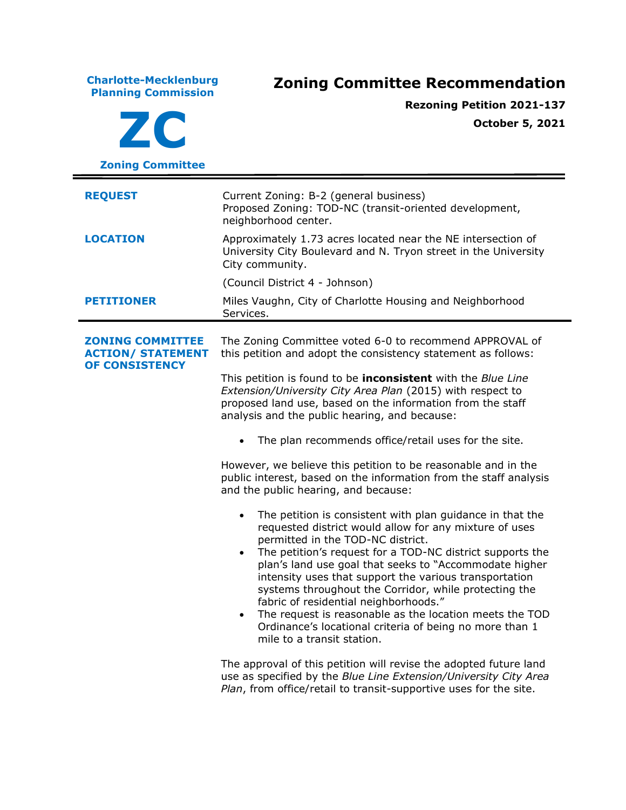**Charlotte-Mecklenburg Planning Commission Zoning Committee Recommendation ZC Zoning Committee Rezoning Petition 2021-137 October 5, 2021 REQUEST** Current Zoning: B-2 (general business) Proposed Zoning: TOD-NC (transit-oriented development, neighborhood center. **LOCATION** Approximately 1.73 acres located near the NE intersection of University City Boulevard and N. Tryon street in the University City community. (Council District 4 - Johnson) **PETITIONER** Miles Vaughn, City of Charlotte Housing and Neighborhood Services. **ZONING COMMITTEE ACTION/ STATEMENT OF CONSISTENCY** The Zoning Committee voted 6-0 to recommend APPROVAL of this petition and adopt the consistency statement as follows: This petition is found to be **inconsistent** with the *Blue Line Extension/University City Area Plan* (2015) with respect to proposed land use, based on the information from the staff analysis and the public hearing, and because: The plan recommends office/retail uses for the site. However, we believe this petition to be reasonable and in the public interest, based on the information from the staff analysis and the public hearing, and because: • The petition is consistent with plan guidance in that the requested district would allow for any mixture of uses permitted in the TOD-NC district. • The petition's request for a TOD-NC district supports the plan's land use goal that seeks to "Accommodate higher intensity uses that support the various transportation systems throughout the Corridor, while protecting the fabric of residential neighborhoods." The request is reasonable as the location meets the TOD Ordinance's locational criteria of being no more than 1 mile to a transit station. The approval of this petition will revise the adopted future land

use as specified by the *Blue Line Extension/University City Area Plan*, from office/retail to transit-supportive uses for the site.